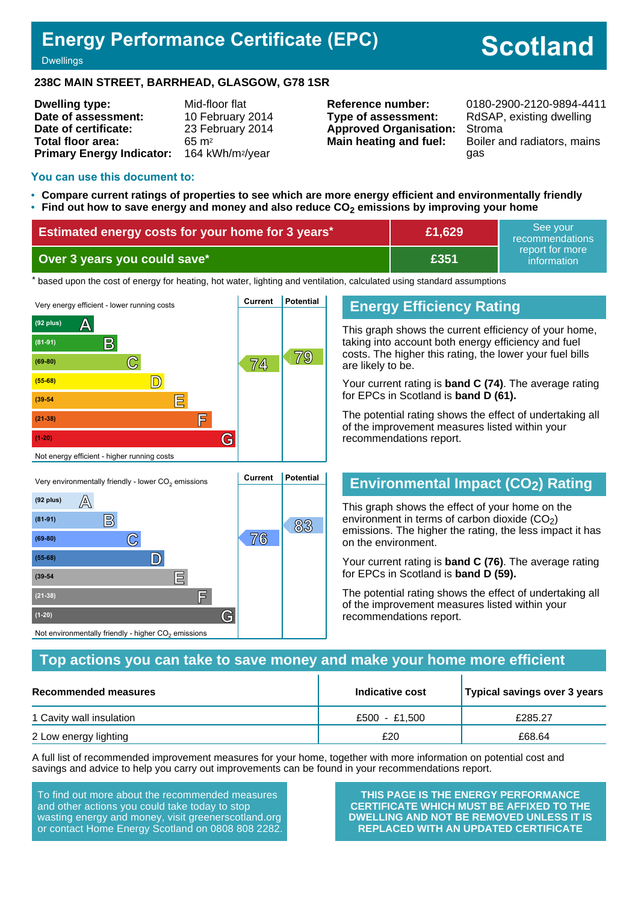# **Energy Performance Certificate (EPC)**

# **Scotland**

**Dwellings** 

#### **238C MAIN STREET, BARRHEAD, GLASGOW, G78 1SR**

| <b>Dwelling type:</b>            | Mid-floor flat               |
|----------------------------------|------------------------------|
| Date of assessment:              | 10 February 2014             |
| Date of certificate:             | 23 February 2014             |
| Total floor area:                | $65 \text{ m}^2$             |
| <b>Primary Energy Indicator:</b> | 164 kWh/m <sup>2</sup> /year |

**Type of assessment:** RdSAP, existing dwelling **Approved Organisation:** Stroma

**Reference number:** 0180-2900-2120-9894-4411 **Main heating and fuel:** Boiler and radiators, mains gas

#### **You can use this document to:**

- **Compare current ratings of properties to see which are more energy efficient and environmentally friendly**
- **Find out how to save energy and money and also reduce CO2 emissions by improving your home**

| Estimated energy costs for your home for 3 years* | £1,629      | See vour<br>recommendations                 |
|---------------------------------------------------|-------------|---------------------------------------------|
| Over 3 years you could save*                      | <b>E351</b> | report for more<br>information <sup>1</sup> |

the based upon the cost of energy for heating, hot water, lighting and ventilation, calculated using standard assumptions



**B 83 83** 

**(69-80) C 76**

**(55-68) D**

**(39-54 E**

**(21-38) F**

Not environmentally friendly - higher  $\mathrm{CO}_2$  emissions

**(1-20) G**

#### **Energy Efficiency Rating**

This graph shows the current efficiency of your home, taking into account both energy efficiency and fuel costs. The higher this rating, the lower your fuel bills are likely to be.

Your current rating is **band C (74)**. The average rating for EPCs in Scotland is **band D (61).**

The potential rating shows the effect of undertaking all of the improvement measures listed within your recommendations report.

#### **Environmental Impact (CO2) Rating**

This graph shows the effect of your home on the environment in terms of carbon dioxide  $(CO<sub>2</sub>)$ emissions. The higher the rating, the less impact it has on the environment.

Your current rating is **band C (76)**. The average rating for EPCs in Scotland is **band D (59).**

The potential rating shows the effect of undertaking all of the improvement measures listed within your recommendations report.

#### **Top actions you can take to save money and make your home more efficient**

| Recommended measures     | Indicative cost | Typical savings over 3 years |
|--------------------------|-----------------|------------------------------|
| 1 Cavity wall insulation | £500 - £1.500   | £285.27                      |
| 2 Low energy lighting    | £20             | £68.64                       |

A full list of recommended improvement measures for your home, together with more information on potential cost and savings and advice to help you carry out improvements can be found in your recommendations report.

To find out more about the recommended measures and other actions you could take today to stop wasting energy and money, visit greenerscotland.org or contact Home Energy Scotland on 0808 808 2282.

**THIS PAGE IS THE ENERGY PERFORMANCE CERTIFICATE WHICH MUST BE AFFIXED TO THE DWELLING AND NOT BE REMOVED UNLESS IT IS REPLACED WITH AN UPDATED CERTIFICATE**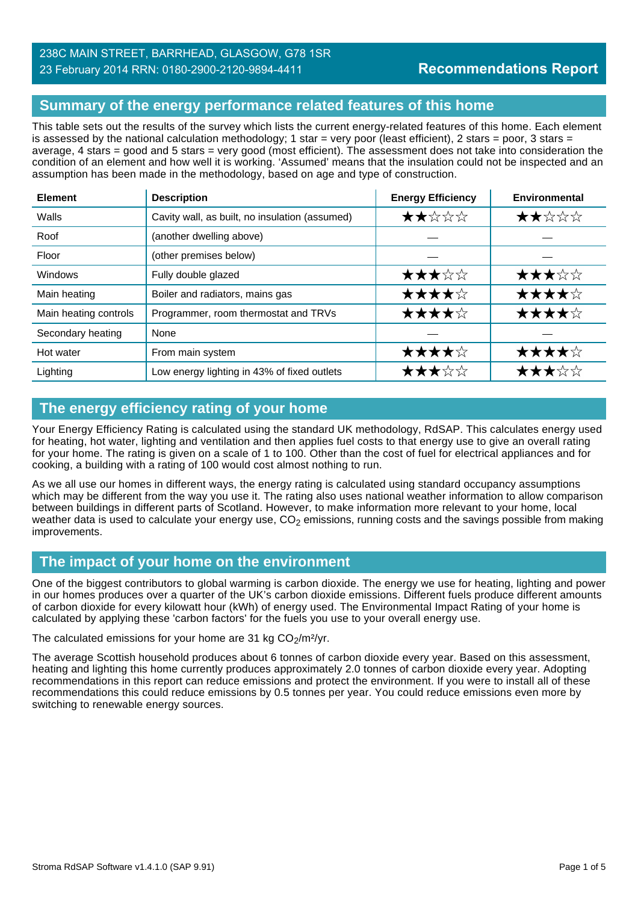# **Summary of the energy performance related features of this home**

This table sets out the results of the survey which lists the current energy-related features of this home. Each element is assessed by the national calculation methodology; 1 star = very poor (least efficient), 2 stars = poor, 3 stars = average, 4 stars = good and 5 stars = very good (most efficient). The assessment does not take into consideration the condition of an element and how well it is working. 'Assumed' means that the insulation could not be inspected and an assumption has been made in the methodology, based on age and type of construction.

| <b>Element</b>        | <b>Description</b>                             | <b>Energy Efficiency</b> | <b>Environmental</b> |
|-----------------------|------------------------------------------------|--------------------------|----------------------|
| Walls                 | Cavity wall, as built, no insulation (assumed) | ★★☆☆☆                    | ★★☆☆☆                |
| Roof                  | (another dwelling above)                       |                          |                      |
| Floor                 | (other premises below)                         |                          |                      |
| Windows               | Fully double glazed                            | ★★★☆☆                    | ★★★☆☆                |
| Main heating          | Boiler and radiators, mains gas                | ★★★★☆                    | ★★★★☆                |
| Main heating controls | Programmer, room thermostat and TRVs           | ★★★★☆                    | ★★★★☆                |
| Secondary heating     | None                                           |                          |                      |
| Hot water             | From main system                               | ★★★★☆                    | ★★★★☆                |
| Lighting              | Low energy lighting in 43% of fixed outlets    | ★★★☆☆                    | ★★★☆☆                |

# **The energy efficiency rating of your home**

Your Energy Efficiency Rating is calculated using the standard UK methodology, RdSAP. This calculates energy used for heating, hot water, lighting and ventilation and then applies fuel costs to that energy use to give an overall rating for your home. The rating is given on a scale of 1 to 100. Other than the cost of fuel for electrical appliances and for cooking, a building with a rating of 100 would cost almost nothing to run.

As we all use our homes in different ways, the energy rating is calculated using standard occupancy assumptions which may be different from the way you use it. The rating also uses national weather information to allow comparison between buildings in different parts of Scotland. However, to make information more relevant to your home, local weather data is used to calculate your energy use,  $CO<sub>2</sub>$  emissions, running costs and the savings possible from making improvements.

# **The impact of your home on the environment**

One of the biggest contributors to global warming is carbon dioxide. The energy we use for heating, lighting and power in our homes produces over a quarter of the UK's carbon dioxide emissions. Different fuels produce different amounts of carbon dioxide for every kilowatt hour (kWh) of energy used. The Environmental Impact Rating of your home is calculated by applying these 'carbon factors' for the fuels you use to your overall energy use.

The calculated emissions for your home are 31 kg  $CO<sub>2</sub>/m<sup>2</sup>/yr$ .

The average Scottish household produces about 6 tonnes of carbon dioxide every year. Based on this assessment, heating and lighting this home currently produces approximately 2.0 tonnes of carbon dioxide every year. Adopting recommendations in this report can reduce emissions and protect the environment. If you were to install all of these recommendations this could reduce emissions by 0.5 tonnes per year. You could reduce emissions even more by switching to renewable energy sources.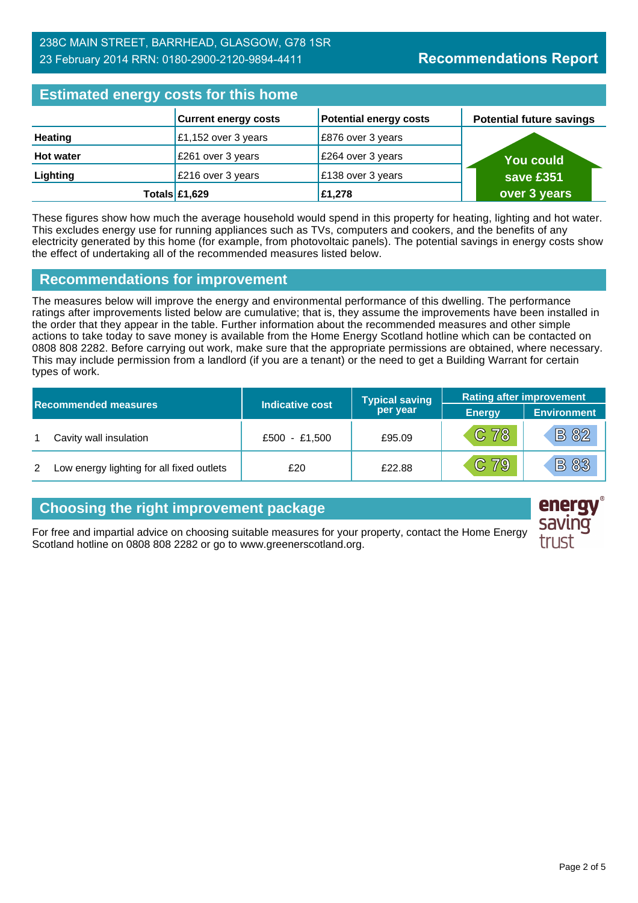#### 238C MAIN STREET, BARRHEAD, GLASGOW, G78 1SR 23 February 2014 RRN: 0180-2900-2120-9894-4411

# **Estimated energy costs for this home**

| <b>EDITION ONE OF STRATEGIST CONTROLLER</b> |                             |                               |                                 |
|---------------------------------------------|-----------------------------|-------------------------------|---------------------------------|
|                                             | <b>Current energy costs</b> | <b>Potential energy costs</b> | <b>Potential future savings</b> |
| <b>Heating</b>                              | £1,152 over 3 years         | E876 over 3 years             |                                 |
| <b>Hot water</b>                            | £261 over 3 years           | £264 over 3 years             | <b>You could</b>                |
| Lighting                                    | £216 over 3 years           | £138 over 3 years             | save £351                       |
|                                             | Totals $£1,629$             | £1,278                        | over 3 years                    |

These figures show how much the average household would spend in this property for heating, lighting and hot water. This excludes energy use for running appliances such as TVs, computers and cookers, and the benefits of any electricity generated by this home (for example, from photovoltaic panels). The potential savings in energy costs show the effect of undertaking all of the recommended measures listed below.

#### **Recommendations for improvement**

The measures below will improve the energy and environmental performance of this dwelling. The performance ratings after improvements listed below are cumulative; that is, they assume the improvements have been installed in the order that they appear in the table. Further information about the recommended measures and other simple actions to take today to save money is available from the Home Energy Scotland hotline which can be contacted on 0808 808 2282. Before carrying out work, make sure that the appropriate permissions are obtained, where necessary. This may include permission from a landlord (if you are a tenant) or the need to get a Building Warrant for certain types of work.

|   |                                           |                        | <b>Typical saving</b> | <b>Rating after improvement</b> |                    |
|---|-------------------------------------------|------------------------|-----------------------|---------------------------------|--------------------|
|   | <b>Recommended measures</b>               | <b>Indicative cost</b> | per year              | <b>Energy</b>                   | <b>Environment</b> |
|   | Cavity wall insulation                    | £500 - £1,500          | £95.09                | $C$ 78                          | <b>B 82</b>        |
| 2 | Low energy lighting for all fixed outlets | £20                    | £22.88                | $\overline{C}$ 79               | <b>B83</b>         |

#### **Choosing the right improvement package**

For free and impartial advice on choosing suitable measures for your property, contact the Home Energy Scotland hotline on 0808 808 2282 or go to www.greenerscotland.org.

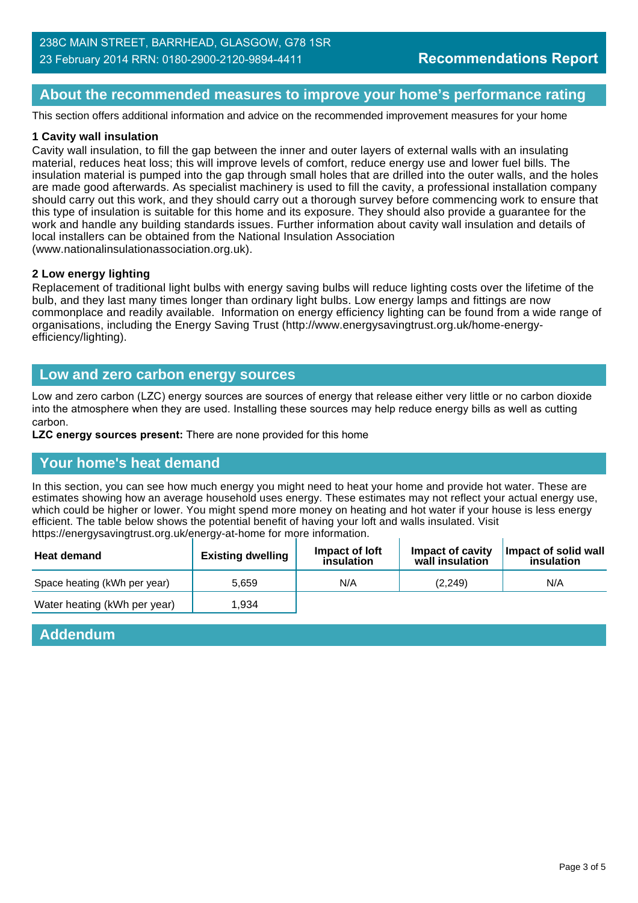#### **About the recommended measures to improve your home's performance rating**

This section offers additional information and advice on the recommended improvement measures for your home

#### **1 Cavity wall insulation**

Cavity wall insulation, to fill the gap between the inner and outer layers of external walls with an insulating material, reduces heat loss; this will improve levels of comfort, reduce energy use and lower fuel bills. The insulation material is pumped into the gap through small holes that are drilled into the outer walls, and the holes are made good afterwards. As specialist machinery is used to fill the cavity, a professional installation company should carry out this work, and they should carry out a thorough survey before commencing work to ensure that this type of insulation is suitable for this home and its exposure. They should also provide a guarantee for the work and handle any building standards issues. Further information about cavity wall insulation and details of local installers can be obtained from the National Insulation Association (www.nationalinsulationassociation.org.uk).

#### **2 Low energy lighting**

Replacement of traditional light bulbs with energy saving bulbs will reduce lighting costs over the lifetime of the bulb, and they last many times longer than ordinary light bulbs. Low energy lamps and fittings are now commonplace and readily available. Information on energy efficiency lighting can be found from a wide range of organisations, including the Energy Saving Trust (http://www.energysavingtrust.org.uk/home-energyefficiency/lighting).

#### **Low and zero carbon energy sources**

Low and zero carbon (LZC) energy sources are sources of energy that release either very little or no carbon dioxide into the atmosphere when they are used. Installing these sources may help reduce energy bills as well as cutting carbon.

**LZC energy sources present:** There are none provided for this home

#### **Your home's heat demand**

In this section, you can see how much energy you might need to heat your home and provide hot water. These are estimates showing how an average household uses energy. These estimates may not reflect your actual energy use, which could be higher or lower. You might spend more money on heating and hot water if your house is less energy efficient. The table below shows the potential benefit of having your loft and walls insulated. Visit https://energysavingtrust.org.uk/energy-at-home for more information.

| <b>Heat demand</b>           | <b>Existing dwelling</b> | Impact of loft<br>insulation | Impact of cavity<br>wall insulation | Impact of solid wall<br>insulation |
|------------------------------|--------------------------|------------------------------|-------------------------------------|------------------------------------|
| Space heating (kWh per year) | 5.659                    | N/A                          | (2.249)                             | N/A                                |
| Water heating (kWh per year) | 1.934                    |                              |                                     |                                    |

#### **Addendum**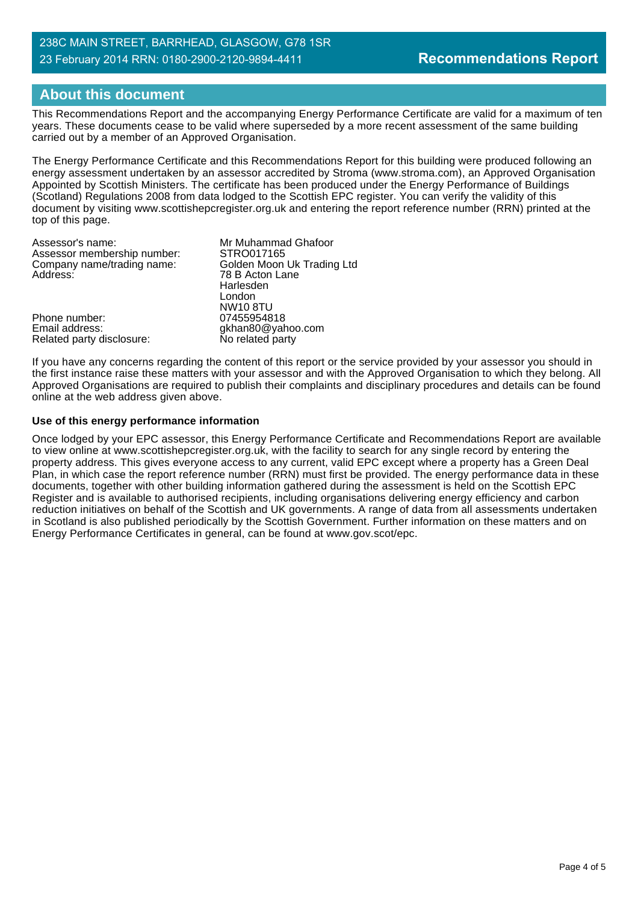#### 238C MAIN STREET, BARRHEAD, GLASGOW, G78 1SR 23 February 2014 RRN: 0180-2900-2120-9894-4411

# **About this document**

This Recommendations Report and the accompanying Energy Performance Certificate are valid for a maximum of ten years. These documents cease to be valid where superseded by a more recent assessment of the same building carried out by a member of an Approved Organisation.

The Energy Performance Certificate and this Recommendations Report for this building were produced following an energy assessment undertaken by an assessor accredited by Stroma (www.stroma.com), an Approved Organisation Appointed by Scottish Ministers. The certificate has been produced under the Energy Performance of Buildings (Scotland) Regulations 2008 from data lodged to the Scottish EPC register. You can verify the validity of this document by visiting www.scottishepcregister.org.uk and entering the report reference number (RRN) printed at the top of this page.

| Assessor's name:<br>Assessor membership number: | Mr Muhammad Ghafoor<br>STRO017165 |
|-------------------------------------------------|-----------------------------------|
| Company name/trading name:                      | Golden Moon Uk Trading Ltd        |
| Address:                                        | 78 B Acton Lane                   |
|                                                 | Harlesden                         |
|                                                 | London                            |
|                                                 | <b>NW10 8TU</b>                   |
| Phone number:                                   | 07455954818                       |
| Email address:                                  | gkhan80@yahoo.com                 |
| Related party disclosure:                       | No related party                  |

If you have any concerns regarding the content of this report or the service provided by your assessor you should in the first instance raise these matters with your assessor and with the Approved Organisation to which they belong. All Approved Organisations are required to publish their complaints and disciplinary procedures and details can be found online at the web address given above.

#### **Use of this energy performance information**

Once lodged by your EPC assessor, this Energy Performance Certificate and Recommendations Report are available to view online at www.scottishepcregister.org.uk, with the facility to search for any single record by entering the property address. This gives everyone access to any current, valid EPC except where a property has a Green Deal Plan, in which case the report reference number (RRN) must first be provided. The energy performance data in these documents, together with other building information gathered during the assessment is held on the Scottish EPC Register and is available to authorised recipients, including organisations delivering energy efficiency and carbon reduction initiatives on behalf of the Scottish and UK governments. A range of data from all assessments undertaken in Scotland is also published periodically by the Scottish Government. Further information on these matters and on Energy Performance Certificates in general, can be found at www.gov.scot/epc.